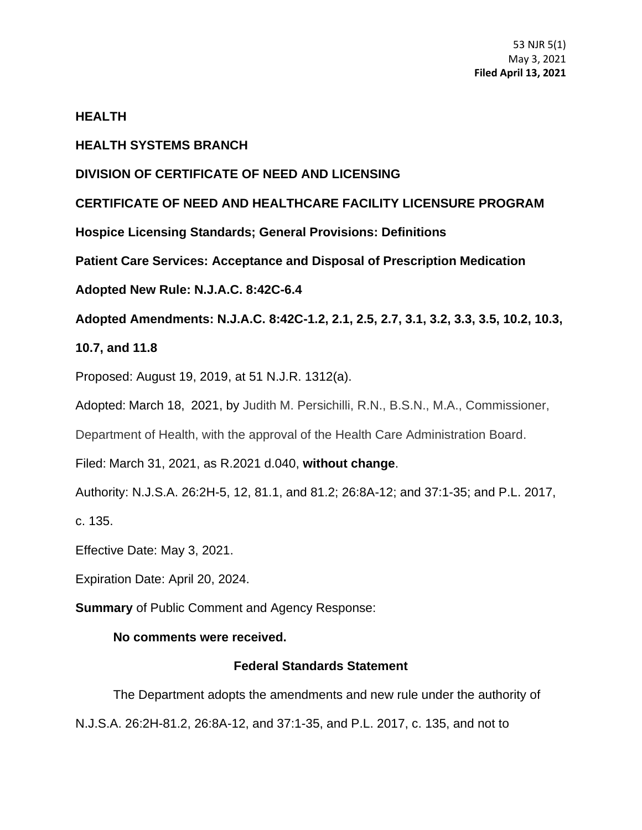### **HEALTH**

### **HEALTH SYSTEMS BRANCH**

### **DIVISION OF CERTIFICATE OF NEED AND LICENSING**

# **CERTIFICATE OF NEED AND HEALTHCARE FACILITY LICENSURE PROGRAM**

**Hospice Licensing Standards; General Provisions: Definitions**

**Patient Care Services: Acceptance and Disposal of Prescription Medication**

# **Adopted New Rule: N.J.A.C. 8:42C-6.4**

**Adopted Amendments: N.J.A.C. 8:42C-1.2, 2.1, 2.5, 2.7, 3.1, 3.2, 3.3, 3.5, 10.2, 10.3,** 

# **10.7, and 11.8**

Proposed: August 19, 2019, at 51 N.J.R. 1312(a).

Adopted: March 18, 2021, by Judith M. Persichilli, R.N., B.S.N., M.A., Commissioner,

Department of Health, with the approval of the Health Care Administration Board.

Filed: March 31, 2021, as R.2021 d.040, **without change**.

Authority: N.J.S.A. 26:2H-5, 12, 81.1, and 81.2; 26:8A-12; and 37:1-35; and P.L. 2017,

c. 135.

Effective Date: May 3, 2021.

Expiration Date: April 20, 2024.

**Summary** of Public Comment and Agency Response:

# **No comments were received.**

# **Federal Standards Statement**

The Department adopts the amendments and new rule under the authority of N.J.S.A. 26:2H-81.2, 26:8A-12, and 37:1-35, and P.L. 2017, c. 135, and not to